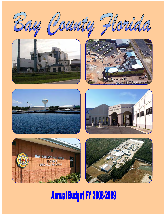

Will 7















# **Annual Budget FY 2008-2009**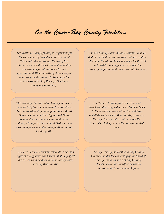### *On the Cover-Bay County Facilities*

*The Waste‐to‐Energy facility is responsible for the conversion of burnable municipal solid Waste into steam through the use of two rotation water‐wall cooled combustion boilers. The steam is forced through a turbine generator and 10 megawatts of electricity per hour are provided to the electrical grid for transmission to Gulf Power, a Southern Company subsidiary.* 

*The new Bay County Public Library located in Panama City houses more than 138,765 items. The improved facility is comprised of an Adult Services section, a Read Again Book Store (where items are donated and sold to the public), a Computer Lab, a Local History room, a Genealogy Room and an Imagination Station for the youth.*

*Construction of a new Administration Complex that will provide a meeting room, administrative offices for Board functions and space for three of the Constitutional offices ‐ Tax Collector, Property Appraiser and Supervisor of Elections.* 

*The Water Division procures treats and distributes drinking water on a wholesale basis to the municipalities and the two military installations located in Bay County, as well as the Bay County Industrial Park and the County's retail system in the unincorporated area.* 

*The Fire Services Division responds to various types of emergencies and hazards that may affect the citizens and visitors in the unincorporated areas of Bay County.* 

*The Bay County Jail located in Bay County, Florida is under the ownership of the Board of County Commissioners of Bay County, Florida, where the Sheriff serves as the County's Chief Correctional Officer.*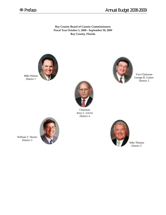

**Bay County Board of County Commissioners Fiscal Year October 1, 2008 ‐ September 30, 2009 Bay County, Florida**



Mike Nelson District 1



Chairman Jerry L. Girvin District 4



Vice-Chairman George B. Gainer District 2



William T. Dozier District 3



Mike Thomas District 5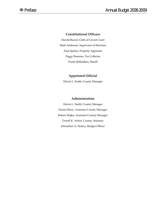#### **Constitutional Officers**

Harold Bazzel, Clerk of Circuit Court Mark Andersen, Supervisor of Elections Zane Spitzer, Property Appraiser Peggy Brannon, Tax Collector Frank McKeithen, Sheriff

#### **Appointed Official**

Edwin L. Smith, County Manager

#### **Administration**

Edwin L. Smith, County Manager Daniel Shaw, Assistant County Manager Robert Majka, Assistant County Manager Terrell K. Arline, County Attorney Johnathan A. Stukey, Budget Officer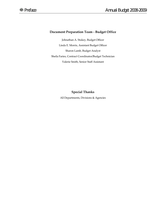#### **Document Preparation Team ‐ Budget Office**

Johnathan A. Stukey, Budget Officer Linda E. Morris, Assistant Budget Officer Sharon Lamb, Budget Analyst Sheila Faries, Contract Coordinator/Budget Technician Valerie Smith, Senior Staff Assistant

#### **Special Thanks**

All Departments, Divisions & Agencies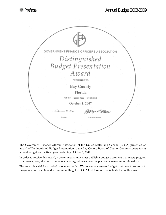

The Government Finance Officers Association of the United States and Canada (GFOA) presented an award of Distinguished Budget Presentation to the Bay County Board of County Commissioners for its annual budget for the fiscal year beginning October 1, 2007.

In order to receive this award, a governmental unit must publish a budget document that meets program criteria as a policy document, as an operations guide, as a financial plan and as a communication device.

The award is valid for a period of one year only. We believe our current budget continues to conform to program requirements, and we are submitting it to GFOA to determine its eligibility for another award.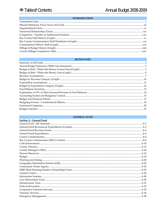#### **INTRODUCTION**

#### **BUDGETARY**

#### **GENERAL FUND**

| <b>Section A - General Fund</b> |  |
|---------------------------------|--|
|                                 |  |
|                                 |  |
|                                 |  |
|                                 |  |
|                                 |  |
|                                 |  |
|                                 |  |
|                                 |  |
|                                 |  |
|                                 |  |
|                                 |  |
|                                 |  |
|                                 |  |
|                                 |  |
|                                 |  |
|                                 |  |
|                                 |  |
|                                 |  |
|                                 |  |
|                                 |  |
|                                 |  |
|                                 |  |
|                                 |  |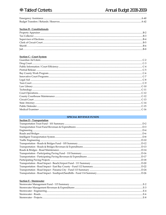| Emergency Assistance.                  |  |
|----------------------------------------|--|
| Budget Transfers / Refunds / Reserves. |  |

#### **Section B - Constitutionals**

#### **Section C - Court System**

#### **SPECIAL REVENUE FUNDS**

| Section D - Transportation |  |
|----------------------------|--|
|                            |  |
|                            |  |
|                            |  |
|                            |  |
|                            |  |
|                            |  |
|                            |  |
|                            |  |
|                            |  |
|                            |  |
|                            |  |
|                            |  |
|                            |  |
|                            |  |
|                            |  |
|                            |  |

#### **Section E - Stormwater**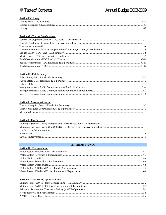#### **Section F - Library**

#### **Section G - Tourist Development**

#### **Section H - Public Safety**

#### **Section I - Mosquito Control**

#### **Section J - Fire Services**

#### **ENTERPRISE FUNDS**

| <b>Section K - Transportation</b> |  |
|-----------------------------------|--|
|                                   |  |
|                                   |  |
|                                   |  |
|                                   |  |
|                                   |  |
|                                   |  |
|                                   |  |

#### Section L - (MPAWTF) - Joint Venture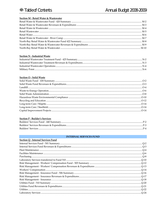#### Section M - Retail Water & Wastewater

#### **Section N - Industrial Waste**

#### Section O - Solid Waste

#### Section P - Builder's Services

#### **INTERNAL SERVICES FUND**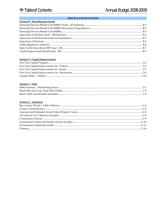#### **MISCELLANEOUS FUNDS**

| Section R - Miscellaneous Funds |  |
|---------------------------------|--|
|                                 |  |
|                                 |  |
|                                 |  |
|                                 |  |
|                                 |  |
|                                 |  |
|                                 |  |
|                                 |  |
|                                 |  |

#### **Section S - Capital Improvements**

#### **Section T - Debt**

#### **Section U - Statistical**